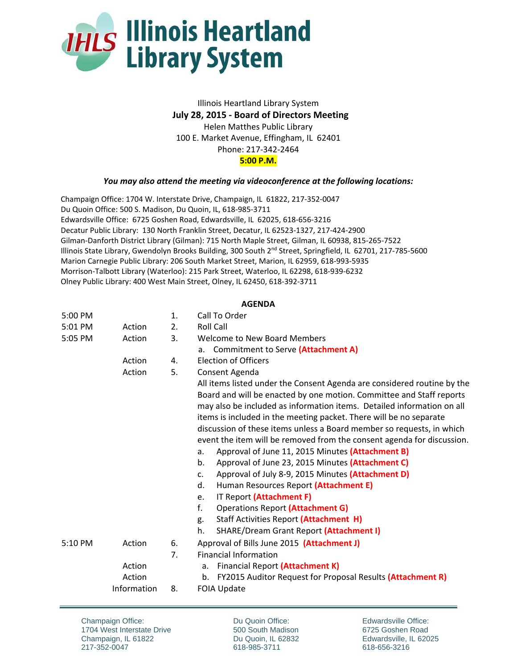

## Illinois Heartland Library System  **July 28, 2015 ‐ Board of Directors Meeting**  Helen Matthes Public Library 100 E. Market Avenue, Effingham, IL 62401 Phone: 217‐342‐2464 **5:00 P.M.**

## *You may also attend the meeting via videoconference at the following locations:*

Champaign Office: 1704 W. Interstate Drive, Champaign, IL 61822, 217‐352‐0047 Du Quoin Office: 500 S. Madison, Du Quoin, IL, 618‐985‐3711 Edwardsville Office: 6725 Goshen Road, Edwardsville, IL 62025, 618‐656‐3216 Decatur Public Library: 130 North Franklin Street, Decatur, IL 62523‐1327, 217‐424‐2900 Gilman‐Danforth District Library (Gilman): 715 North Maple Street, Gilman, IL 60938, 815‐265‐7522 Illinois State Library, Gwendolyn Brooks Building, 300 South 2<sup>nd</sup> Street, Springfield, IL 62701, 217-785-5600 Marion Carnegie Public Library: 206 South Market Street, Marion, IL 62959, 618‐993‐5935 Morrison‐Talbott Library (Waterloo): 215 Park Street, Waterloo, IL 62298, 618‐939‐6232 Olney Public Library: 400 West Main Street, Olney, IL 62450, 618‐392‐3711

## **AGENDA**

| 5:00 PM |             | 1. | Call To Order                                                           |  |  |  |
|---------|-------------|----|-------------------------------------------------------------------------|--|--|--|
| 5:01 PM | Action      | 2. | <b>Roll Call</b>                                                        |  |  |  |
| 5:05 PM | Action      | 3. | Welcome to New Board Members                                            |  |  |  |
|         |             |    | Commitment to Serve (Attachment A)<br>a.                                |  |  |  |
|         | Action      | 4. | <b>Election of Officers</b>                                             |  |  |  |
|         | Action      | 5. | Consent Agenda                                                          |  |  |  |
|         |             |    | All items listed under the Consent Agenda are considered routine by the |  |  |  |
|         |             |    | Board and will be enacted by one motion. Committee and Staff reports    |  |  |  |
|         |             |    | may also be included as information items. Detailed information on all  |  |  |  |
|         |             |    | items is included in the meeting packet. There will be no separate      |  |  |  |
|         |             |    | discussion of these items unless a Board member so requests, in which   |  |  |  |
|         |             |    | event the item will be removed from the consent agenda for discussion.  |  |  |  |
|         |             |    | Approval of June 11, 2015 Minutes (Attachment B)<br>a.                  |  |  |  |
|         |             |    | b.<br>Approval of June 23, 2015 Minutes (Attachment C)                  |  |  |  |
|         |             |    | Approval of July 8-9, 2015 Minutes (Attachment D)<br>c.                 |  |  |  |
|         |             |    | d.<br>Human Resources Report (Attachment E)                             |  |  |  |
|         |             |    | IT Report (Attachment F)<br>e.                                          |  |  |  |
|         |             |    | f.<br><b>Operations Report (Attachment G)</b>                           |  |  |  |
|         |             |    | Staff Activities Report (Attachment H)<br>g.                            |  |  |  |
|         |             |    | h.<br><b>SHARE/Dream Grant Report (Attachment I)</b>                    |  |  |  |
| 5:10 PM | Action      | 6. | Approval of Bills June 2015 (Attachment J)                              |  |  |  |
|         |             | 7. | <b>Financial Information</b>                                            |  |  |  |
|         | Action      |    | Financial Report (Attachment K)<br>a.                                   |  |  |  |
|         | Action      |    | FY2015 Auditor Request for Proposal Results (Attachment R)<br>b.        |  |  |  |
|         | Information | 8. | <b>FOIA Update</b>                                                      |  |  |  |

Champaign Office: 1704 West Interstate Drive Champaign, IL 61822 217-352-0047

Du Quoin Office: 500 South Madison Du Quoin, IL 62832 618-985-3711

Edwardsville Office: 6725 Goshen Road Edwardsville, IL 62025 618-656-3216